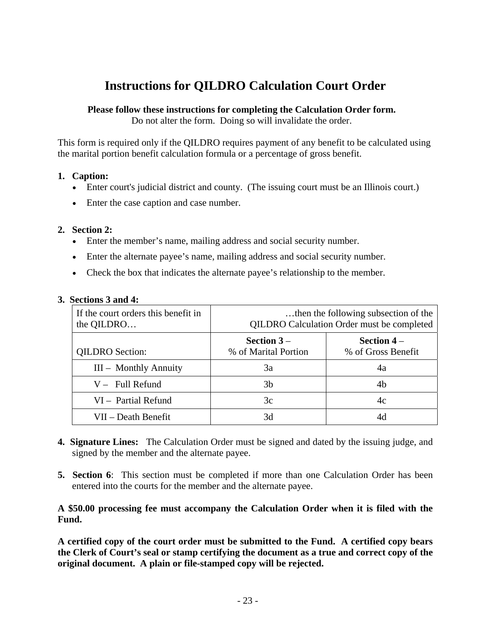# **Instructions for QILDRO Calculation Court Order**

## **Please follow these instructions for completing the Calculation Order form.**

Do not alter the form. Doing so will invalidate the order.

This form is required only if the QILDRO requires payment of any benefit to be calculated using the marital portion benefit calculation formula or a percentage of gross benefit.

## **1. Caption:**

- Enter court's judicial district and county. (The issuing court must be an Illinois court.)
- Enter the case caption and case number.

## **2. Section 2:**

- Enter the member's name, mailing address and social security number.
- Enter the alternate payee's name, mailing address and social security number.
- Check the box that indicates the alternate payee's relationship to the member.

| If the court orders this benefit in<br>the QILDRO | then the following subsection of the<br>QILDRO Calculation Order must be completed |                                    |  |  |
|---------------------------------------------------|------------------------------------------------------------------------------------|------------------------------------|--|--|
| <b>QILDRO</b> Section:                            | Section $3-$<br>% of Marital Portion                                               | Section $4-$<br>% of Gross Benefit |  |  |
| III - Monthly Annuity                             | 3a                                                                                 | 4a                                 |  |  |
| $V -$ Full Refund                                 | 3b                                                                                 | 4b                                 |  |  |
| VI - Partial Refund                               | 3c                                                                                 | 4c                                 |  |  |
| VII – Death Benefit                               | 3d                                                                                 |                                    |  |  |

#### **3. Sections 3 and 4:**

- **4. Signature Lines:** The Calculation Order must be signed and dated by the issuing judge, and signed by the member and the alternate payee.
- **5. Section 6**: This section must be completed if more than one Calculation Order has been entered into the courts for the member and the alternate payee.

## **A \$50.00 processing fee must accompany the Calculation Order when it is filed with the Fund.**

**A certified copy of the court order must be submitted to the Fund. A certified copy bears the Clerk of Court's seal or stamp certifying the document as a true and correct copy of the original document. A plain or file-stamped copy will be rejected.**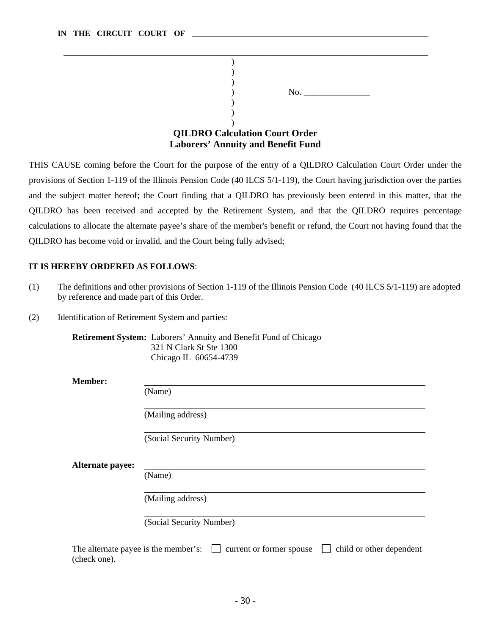|                                       |                                           | No. |  |  |  |
|---------------------------------------|-------------------------------------------|-----|--|--|--|
|                                       |                                           |     |  |  |  |
|                                       |                                           |     |  |  |  |
|                                       |                                           |     |  |  |  |
| <b>QILDRO Calculation Court Order</b> |                                           |     |  |  |  |
|                                       | <b>Laborers' Annuity and Benefit Fund</b> |     |  |  |  |

THIS CAUSE coming before the Court for the purpose of the entry of a QILDRO Calculation Court Order under the provisions of Section 1-119 of the Illinois Pension Code (40 ILCS 5/1-119), the Court having jurisdiction over the parties and the subject matter hereof; the Court finding that a QILDRO has previously been entered in this matter, that the QILDRO has been received and accepted by the Retirement System, and that the QILDRO requires percentage calculations to allocate the alternate payee's share of the member's benefit or refund, the Court not having found that the QILDRO has become void or invalid, and the Court being fully advised;

#### **IT IS HEREBY ORDERED AS FOLLOWS**:

- (1) The definitions and other provisions of Section 1-119 of the Illinois Pension Code (40 ILCS 5/1-119) are adopted by reference and made part of this Order.
- (2) Identification of Retirement System and parties:

**Retirement System:** Laborers' Annuity and Benefit Fund of Chicago 321 N Clark St Ste 1300 Chicago IL 60654-4739

**Member:** 

(Name)

(Mailing address)

(Social Security Number)

**Alternate payee:**

(Name)

(Mailing address)

(Social Security Number)

The alternate payee is the member's:  $\Box$  current or former spouse  $\Box$  child or other dependent (check one).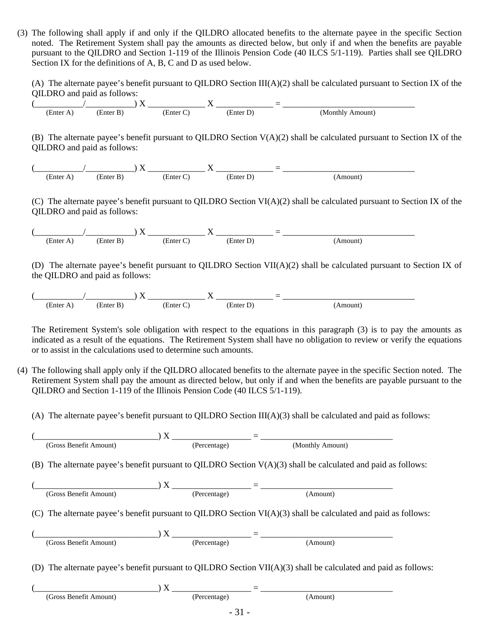(3) The following shall apply if and only if the QILDRO allocated benefits to the alternate payee in the specific Section noted. The Retirement System shall pay the amounts as directed below, but only if and when the benefits are payable pursuant to the QILDRO and Section 1-119 of the Illinois Pension Code (40 ILCS 5/1-119). Parties shall see QILDRO Section IX for the definitions of A, B, C and D as used below.

(A) The alternate payee's benefit pursuant to QILDRO Section III(A)(2) shall be calculated pursuant to Section IX of the QILDRO and paid as follows:

$$
\left(\frac{\sqrt{1-\frac{1}{2}}}{\frac{1}{2}\left(\frac{1}{2}\right)^2}\right)X\frac{X}{\frac{1}{2}\left(\frac{1}{2}\right)^2} = \frac{1}{\frac{1}{2}\left(\frac{1}{2}\right)^2}\left(\frac{1}{2}\right)^2
$$

(B) The alternate payee's benefit pursuant to QILDRO Section  $V(A)(2)$  shall be calculated pursuant to Section IX of the QILDRO and paid as follows:



(C) The alternate payee's benefit pursuant to QILDRO Section VI(A)(2) shall be calculated pursuant to Section IX of the QILDRO and paid as follows:



(D) The alternate payee's benefit pursuant to QILDRO Section VII(A)(2) shall be calculated pursuant to Section IX of the QILDRO and paid as follows:



The Retirement System's sole obligation with respect to the equations in this paragraph (3) is to pay the amounts as indicated as a result of the equations. The Retirement System shall have no obligation to review or verify the equations or to assist in the calculations used to determine such amounts.

- (4) The following shall apply only if the QILDRO allocated benefits to the alternate payee in the specific Section noted. The Retirement System shall pay the amount as directed below, but only if and when the benefits are payable pursuant to the QILDRO and Section 1-119 of the Illinois Pension Code (40 ILCS 5/1-119).
	- (A) The alternate payee's benefit pursuant to QILDRO Section  $III(A)(3)$  shall be calculated and paid as follows:

| (Gross Benefit Amount)                                                                                                                                                                                                                                 | (Percentage) | (Monthly Amount) |  |
|--------------------------------------------------------------------------------------------------------------------------------------------------------------------------------------------------------------------------------------------------------|--------------|------------------|--|
| (B) The alternate payee's benefit pursuant to QILDRO Section $V(A)(3)$ shall be calculated and paid as follows:                                                                                                                                        |              |                  |  |
| $(X$ $)$ $X$ $)$ $X$ $)$ $X$ $)$ $X$ $)$ $X$ $)$ $X$ $)$ $X$ $)$ $X$ $)$ $X$ $)$ $X$ $)$ $X$ $)$ $X$ $)$ $X$ $)$ $X$ $)$ $X$ $)$ $X$ $)$ $X$ $)$ $X$ $)$ $X$ $)$ $X$ $)$ $X$ $)$ $X$ $)$ $X$ $)$ $X$ $)$ $X$ $)$ $X$ $)$ $X$<br>(Gross Benefit Amount) | (Percentage) | (Amount)         |  |
| (C) The alternate payee's benefit pursuant to QILDRO Section $VI(A)(3)$ shall be calculated and paid as follows:                                                                                                                                       |              |                  |  |
| $\left(\frac{G \text{ross } \text{Benefit Amouth}}{\text{(Bercentage)}}\right)$ $X \longrightarrow \left(\frac{G \text{res}}{\text{Percentage}}\right)$ (Amount)<br>(Gross Benefit Amount)                                                             | (Percentage) |                  |  |
| (D) The alternate payee's benefit pursuant to QILDRO Section $VII(A)(3)$ shall be calculated and paid as follows:                                                                                                                                      |              |                  |  |
| (Gross Benefit Amount)                                                                                                                                                                                                                                 | (Percentage) | (Amount)         |  |